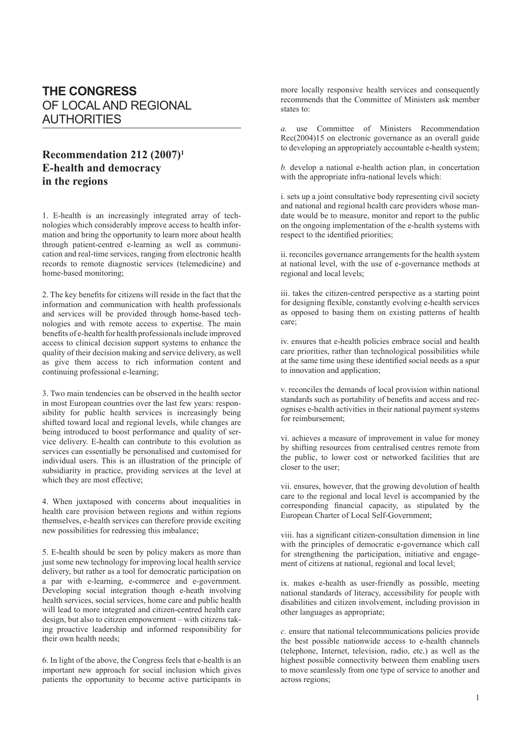## **THE CONGRESS** OF LOCAL AND REGIONAL AUTHORITIES

## **Recommendation 212 (2007)1 E-health and democracy in the regions**

1. E-health is an increasingly integrated array of technologies which considerably improve access to health information and bring the opportunity to learn more about health through patient-centred e-learning as well as communication and real-time services, ranging from electronic health records to remote diagnostic services (telemedicine) and home-based monitoring;

2. The key benefits for citizens will reside in the fact that the information and communication with health professionals and services will be provided through home-based technologies and with remote access to expertise. The main benefits of e-health for health professionals include improved access to clinical decision support systems to enhance the quality of their decision making and service delivery, as well as give them access to rich information content and continuing professional e-learning;

3. Two main tendencies can be observed in the health sector in most European countries over the last few years: responsibility for public health services is increasingly being shifted toward local and regional levels, while changes are being introduced to boost performance and quality of service delivery. E-health can contribute to this evolution as services can essentially be personalised and customised for individual users. This is an illustration of the principle of subsidiarity in practice, providing services at the level at which they are most effective;

4. When juxtaposed with concerns about inequalities in health care provision between regions and within regions themselves, e-health services can therefore provide exciting new possibilities for redressing this imbalance;

5. E-health should be seen by policy makers as more than just some new technology for improving local health service delivery, but rather as a tool for democratic participation on a par with e-learning, e-commerce and e-government. Developing social integration though e-heath involving health services, social services, home care and public health will lead to more integrated and citizen-centred health care design, but also to citizen empowerment – with citizens taking proactive leadership and informed responsibility for their own health needs;

6. In light of the above, the Congress feels that e-health is an important new approach for social inclusion which gives patients the opportunity to become active participants in more locally responsive health services and consequently recommends that the Committee of Ministers ask member states to:

*a.* use Committee of Ministers Recommendation Rec(2004)15 on electronic governance as an overall guide to developing an appropriately accountable e-health system;

*b.* develop a national e-health action plan, in concertation with the appropriate infra-national levels which:

i. sets up a joint consultative body representing civil society and national and regional health care providers whose mandate would be to measure, monitor and report to the public on the ongoing implementation of the e-health systems with respect to the identified priorities;

ii. reconciles governance arrangements for the health system at national level, with the use of e-governance methods at regional and local levels;

iii. takes the citizen-centred perspective as a starting point for designing flexible, constantly evolving e-health services as opposed to basing them on existing patterns of health care;

iv. ensures that e-health policies embrace social and health care priorities, rather than technological possibilities while at the same time using these identified social needs as a spur to innovation and application;

v. reconciles the demands of local provision within national standards such as portability of benefits and access and recognises e-health activities in their national payment systems for reimbursement;

vi. achieves a measure of improvement in value for money by shifting resources from centralised centres remote from the public, to lower cost or networked facilities that are closer to the user;

vii. ensures, however, that the growing devolution of health care to the regional and local level is accompanied by the corresponding financial capacity, as stipulated by the European Charter of Local Self-Government;

viii. has a significant citizen-consultation dimension in line with the principles of democratic e-governance which call for strengthening the participation, initiative and engagement of citizens at national, regional and local level;

ix. makes e-health as user-friendly as possible, meeting national standards of literacy, accessibility for people with disabilities and citizen involvement, including provision in other languages as appropriate;

*c.* ensure that national telecommunications policies provide the best possible nationwide access to e-health channels (telephone, Internet, television, radio, etc.) as well as the highest possible connectivity between them enabling users to move seamlessly from one type of service to another and across regions;